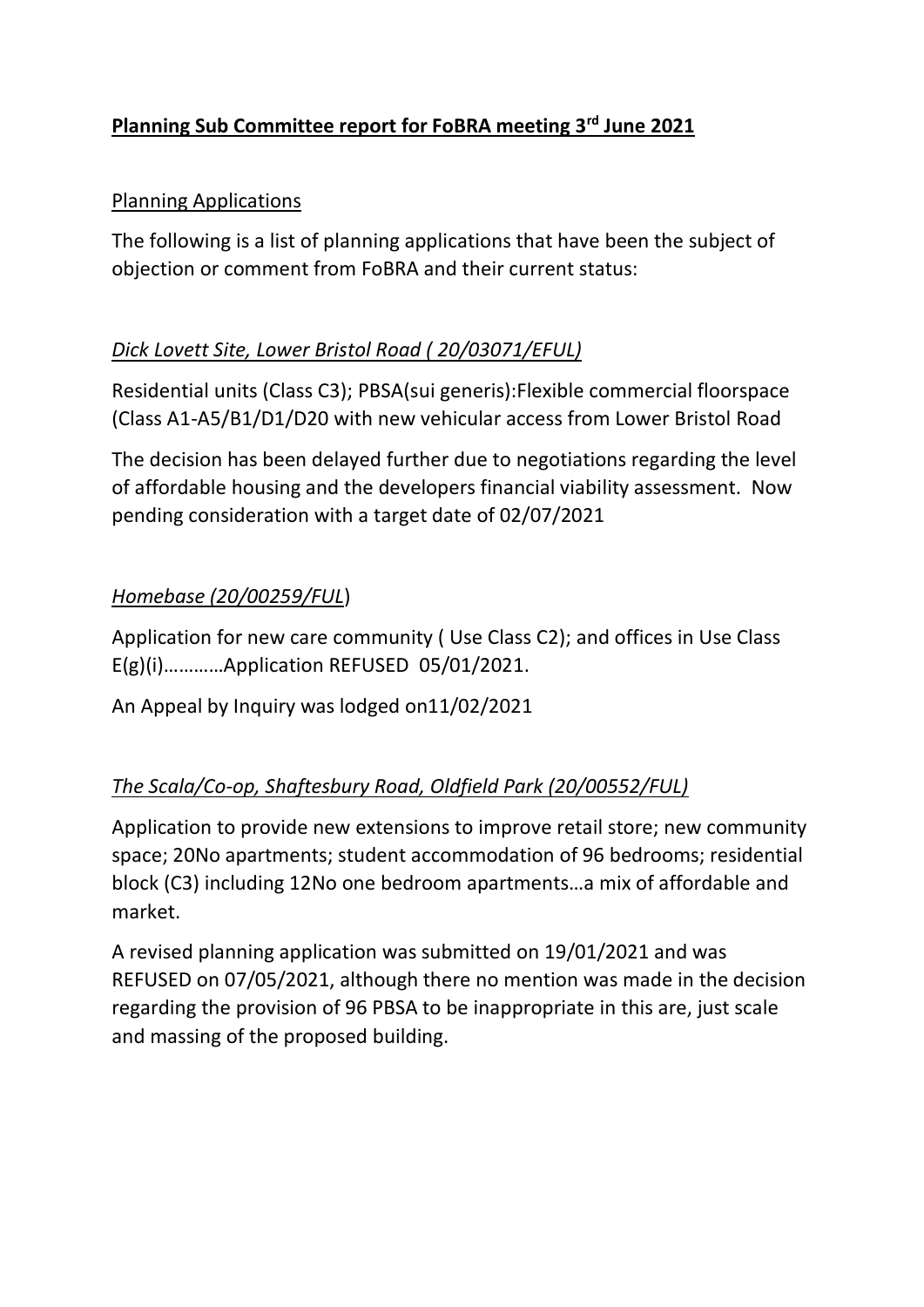# **Planning Sub Committee report for FoBRA meeting 3rd June 2021**

### Planning Applications

The following is a list of planning applications that have been the subject of objection or comment from FoBRA and their current status:

### *Dick Lovett Site, Lower Bristol Road ( 20/03071/EFUL)*

Residential units (Class C3); PBSA(sui generis):Flexible commercial floorspace (Class A1-A5/B1/D1/D20 with new vehicular access from Lower Bristol Road

The decision has been delayed further due to negotiations regarding the level of affordable housing and the developers financial viability assessment. Now pending consideration with a target date of 02/07/2021

### *Homebase (20/00259/FUL*)

Application for new care community ( Use Class C2); and offices in Use Class E(g)(i)…………Application REFUSED 05/01/2021.

An Appeal by Inquiry was lodged on11/02/2021

# *The Scala/Co-op, Shaftesbury Road, Oldfield Park (20/00552/FUL)*

Application to provide new extensions to improve retail store; new community space; 20No apartments; student accommodation of 96 bedrooms; residential block (C3) including 12No one bedroom apartments…a mix of affordable and market.

A revised planning application was submitted on 19/01/2021 and was REFUSED on 07/05/2021, although there no mention was made in the decision regarding the provision of 96 PBSA to be inappropriate in this are, just scale and massing of the proposed building.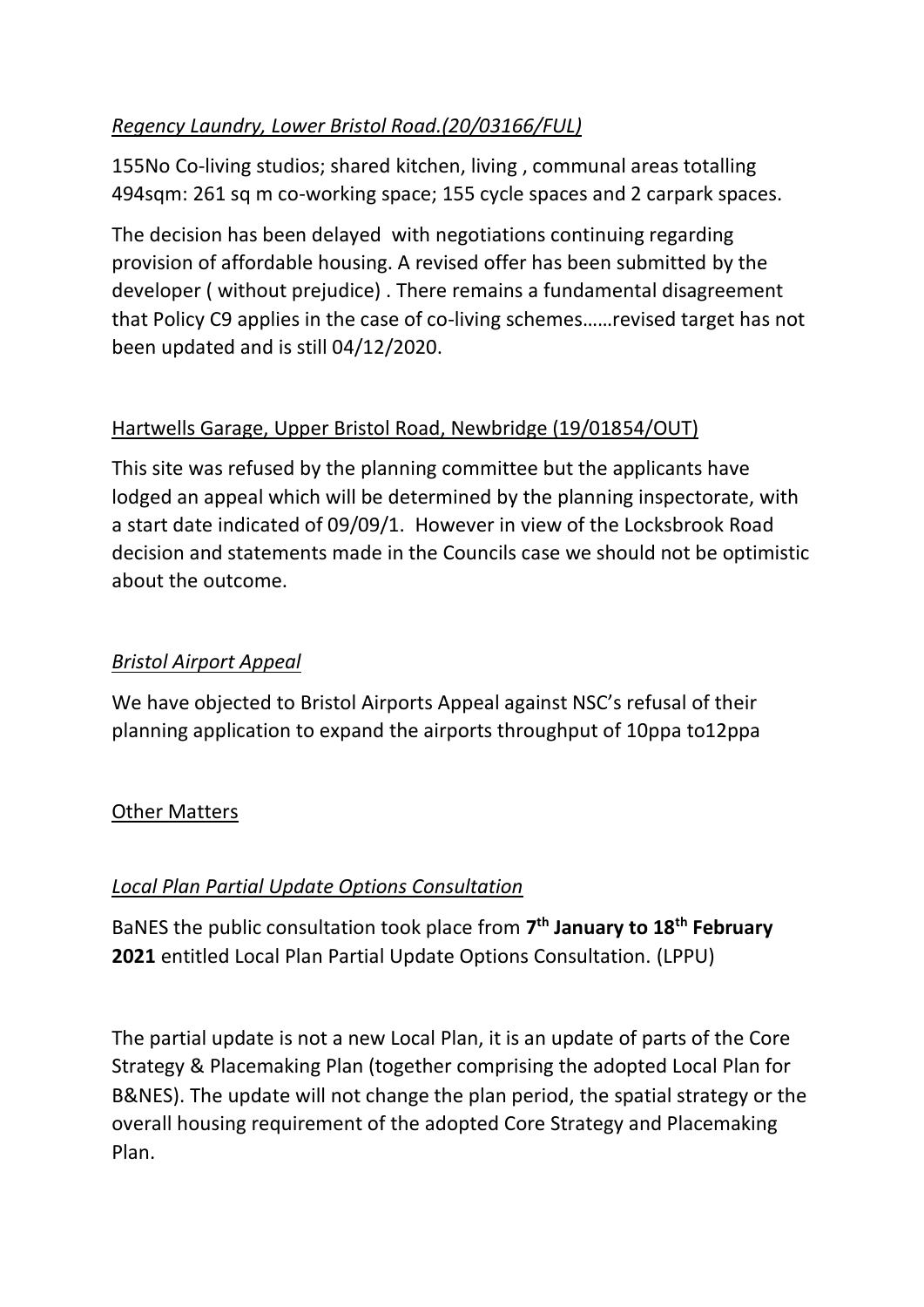# *Regency Laundry, Lower Bristol Road.(20/03166/FUL)*

155No Co-living studios; shared kitchen, living , communal areas totalling 494sqm: 261 sq m co-working space; 155 cycle spaces and 2 carpark spaces.

The decision has been delayed with negotiations continuing regarding provision of affordable housing. A revised offer has been submitted by the developer ( without prejudice) . There remains a fundamental disagreement that Policy C9 applies in the case of co-living schemes……revised target has not been updated and is still 04/12/2020.

# Hartwells Garage, Upper Bristol Road, Newbridge (19/01854/OUT)

This site was refused by the planning committee but the applicants have lodged an appeal which will be determined by the planning inspectorate, with a start date indicated of 09/09/1. However in view of the Locksbrook Road decision and statements made in the Councils case we should not be optimistic about the outcome.

# *Bristol Airport Appeal*

We have objected to Bristol Airports Appeal against NSC's refusal of their planning application to expand the airports throughput of 10ppa to12ppa

# Other Matters

# *Local Plan Partial Update Options Consultation*

BaNES the public consultation took place from **7 th January to 18th February 2021** entitled Local Plan Partial Update Options Consultation. (LPPU)

The partial update is not a new Local Plan, it is an update of parts of the Core Strategy & Placemaking Plan (together comprising the adopted Local Plan for B&NES). The update will not change the plan period, the spatial strategy or the overall housing requirement of the adopted Core Strategy and Placemaking Plan.